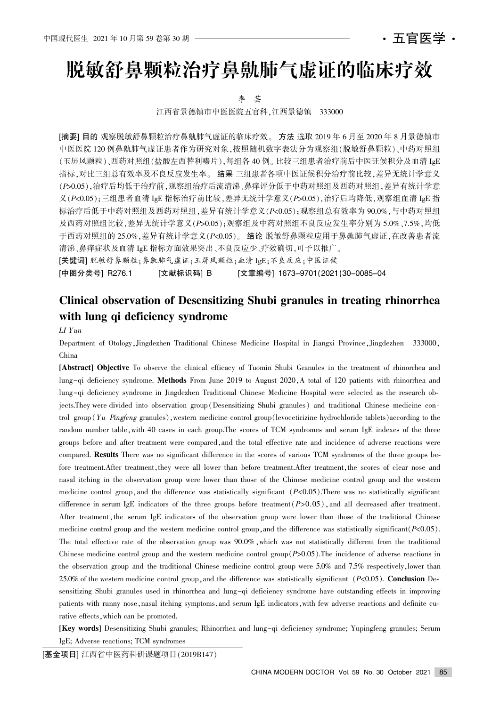# 脱敏舒鼻颗粒治疗鼻鼽肺气虚证的临床疗效

李 芸

江西省景德镇市中医医院五官科,江西景德镇 333000

[摘要] 目的 观察脱敏舒鼻颗粒治疗鼻鼽肺气虚证的临床疗效。 方法 选取 2019 年 6 月至 2020 年 8 月景德镇市 中医医院 120 例鼻鼽肺气虚证患者作为研究对象,按照随机数字表法分为观察组(脱敏舒鼻颗粒)、中药对照组 (玉屏风颗粒)、西药对照组(盐酸左西替利嗪片)、每组各 40 例。比较三组患者治疗前后中医证候积分及血清 IgE 指标,对比三组总有效率及不良反应发生率。结果 三组患者各项中医证候积分治疗前比较,差异无统计学意义 (P>0.05),治疗后均低于治疗前,观察组治疗后流清涕、鼻痒评分低于中药对照组及西药对照组,差异有统计学意 义 $(P<0.05)$ :三组患者血清 IgE 指标治疗前比较,差异无统计学意义 $(P>0.05)$ ,治疗后均降低,观察组血清 IgE 指 标治疗后低于中药对照组及西药对照组,差异有统计学意义(P<0.05);观察组总有效率为 90.0%,与中药对照组 及西药对照组比较,差异无统计学意义(P>0.05);观察组及中药对照组不良反应发生率分别为 5.0%、7.5%,均低 于西药对照组的 25.0%,差异有统计学意义(P<0.05)。 结论 脱敏舒鼻颗粒应用于鼻鼽肺气虚证,在改善患者流 清涕、鼻痒症状及血清 IgE 指标方面效果突出、不良反应少、疗效确切,可予以推广。 [关键词] 脱敏舒鼻颗粒;鼻鼽肺气虚证;玉屏风颗粒;血清 IgE;不良反应;中医证候

[中图分类号] R276.1 [文献标识码] B [文章编号] 1673-9701(2021)30-0085-04

## Clinical observation of Desensitizing Shubi granules in treating rhinorrhea with lung qi deficiency syndrome

#### LI Yun

Department of Otology, Jingdezhen Traditional Chinese Medicine Hospital in Jiangxi Province, Jingdezhen 333000, China

[Abstract] Objective To observe the clinical efficacy of Tuomin Shubi Granules in the treatment of rhinorrhea and lung-qi deficiency syndrome. Methods From June 2019 to August 2020, A total of 120 patients with rhinorrhea and lung-qi deficiency syndrome in Jingdezhen Traditional Chinese Medicine Hospital were selected as the research objects.They were divided into observation group (Desensitizing Shubi granules) and traditional Chinese medicine control group  $Yu$  Pingfeng granules), western medicine control group (levocetirizine hydrochloride tablets) according to the random number table, with 40 cases in each group. The scores of TCM syndromes and serum IgE indexes of the three groups before and after treatment were compared, and the total effective rate and incidence of adverse reactions were compared. Results There was no significant difference in the scores of various TCM syndromes of the three groups before treatment.After treatment, they were all lower than before treatment.After treatment, the scores of clear nose and nasal itching in the observation group were lower than those of the Chinese medicine control group and the western medicine control group, and the difference was statistically significant  $(P<0.05)$ . There was no statistically significant difference in serum IgE indicators of the three groups before treatment  $(P>0.05)$ , and all decreased after treatment. After treatment, the serum IgE indicators of the observation group were lower than those of the traditional Chinese medicine control group and the western medicine control group, and the difference was statistically significant  $(P<0.05)$ . The total effective rate of the observation group was  $90.0\%$ , which was not statistically different from the traditional Chinese medicine control group and the western medicine control group $(P>0.05)$ . The incidence of adverse reactions in the observation group and the traditional Chinese medicine control group were  $5.0\%$  and  $7.5\%$  respectively, lower than 25.0% of the western medicine control group, and the difference was statistically significant  $(P<0.05)$ . Conclusion Desensitizing Shubi granules used in rhinorrhea and lung-qi deficiency syndrome have outstanding effects in improving patients with runny nose, nasal itching symptoms, and serum IgE indicators, with few adverse reactions and definite curative effects, which can be promoted.

[Key words] Desensitizing Shubi granules; Rhinorrhea and lung-qi deficiency syndrome; Yupingfeng granules; Serum IgE; Adverse reactions; TCM syndromes

[基金项目] 江西省中医药科研课题项目(2019B147)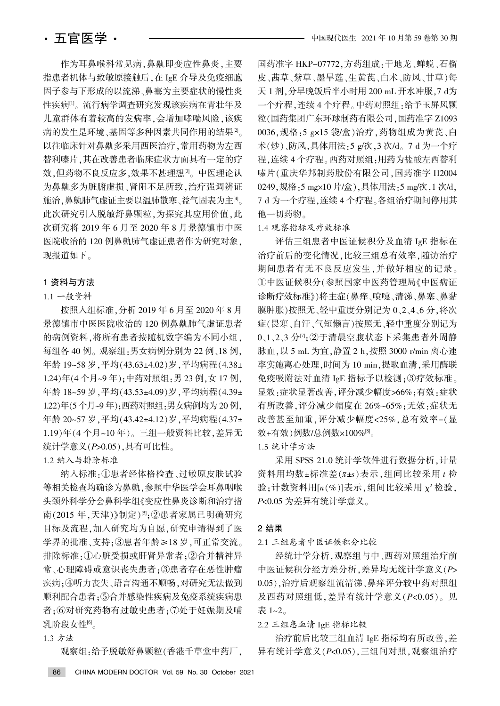作为耳鼻喉科常见病,鼻鼽即变应性鼻炎,主要 指患者机体与致敏原接触后,在 IgE 介导及免疫细胞 因子参与下形成的以流涕、鼻塞为主要症状的慢性炎 性疾病[1]。流行病学调查研究发现该疾病在青壮年及 儿童群体有着较高的发病率,会增加哮喘风险,该疾 病的发生是环境、基因等多种因素共同作用的结果[2]。 以往临床针对鼻鼽多采用西医治疗,常用药物为左西 替利嗪片,其在改善患者临床症状方面具有一定的疗 效,但药物不良反应多,效果不甚理想[3]。中医理论认 为鼻鼽多为脏腑虚损、肾阳不足所致,治疗强调辨证 施治,鼻鼽肺气虚证主要以温肺散寒、益气固表为主[4]。 此次研究引入脱敏舒鼻颗粒,为探究其应用价值,此 次研究将 2019 年 6 月至 2020 年 8 月景德镇市中医 医院收治的 120 例鼻鼽肺气虚证患者作为研究对象, 现报道如下。

#### 1 资料与方法

#### 1.1 一般资料

按照入组标准, 分析 2019 年 6 月至 2020 年 8 月 景德镇市中医医院收治的 120 例鼻鼽肺气虚证患者 的病例资料,将所有患者按随机数字编为不同小组,  $\triangle$  组各 40 例。观察组,男女病例分别为 22 例、18 例 年龄 19~58 岁, 平均(43.63±4.02)岁, 平均病程(4.38± 1.24)年(4个月~9年):中药对照组:男 23 例, 女 17 例, 年龄 18~59 岁, 平均(43.53±4.09) 岁, 平均病程(4.39± 1.22)年(5个月~9年);西药对照组:男女病例均为 20 例, 年龄 20~57 岁, 平均(43.42±4.12) 岁, 平均病程(4.37± 1.19)年(4个月~10年)。三组一般资料比较,差异无 统计学意义 $(P>0.05)$ , 具有可比性。

1.2 纳入与排除标准

纳入标准:1患者经体格检查、过敏原皮肤试验 等相关检查均确诊为鼻鼽,参照中华医学会耳鼻咽喉 头颈外科学分会鼻科学组《变应性鼻炎诊断和治疗指 南(2015年,天津)》制定)<sup>[5]</sup>;②患者家属已明确研究 目标及流程,加入研究均为自愿,研究申请得到了医 学界的批准、支持;③患者年龄≥18岁,可正常交流。 排除标准:①心脏受损或肝肾异常者:②合并精神异 常、心理障碍或意识丧失患者;3患者存在恶性肿瘤 疾病;4听力丧失、语言沟通不顺畅,对研究无法做到 顺利配合患者;⑤合并感染性疾病及免疫系统疾病患 者;6对研究药物有过敏史患者;7处于妊娠期及哺 乳阶段女性[6]。

#### 1.3 方法

观察组,给予脱敏舒鼻颗粒(香港千草堂中药厂,

国药准字 HKP-07772,方药组成:干地龙、蝉蜕、石榴 皮、茜草、紫草、墨旱莲、生黄芪、白术、防风、甘草)每 天 1 剂, 分早晚饭后半小时用 200 mL 开水冲服, 7 d为 一个疗程,连续4个疗程。中药对照组:给予玉屏风颗 粒(国药集团广东环球制药有限公司,国药准字 Z1093 0036,规格:5 g×15 袋/盒)治疗,药物组成为黄芪、白 术(炒)、防风,具体用法:5 g/次,3 次/d。7 d 为一个疗 程,连续4个疗程。西药对照组:用药为盐酸左西替利 嗪片(重庆华邦制药股份有限公司,国药准字 H2004 0249,规格:5 mg×10 片/盒),具体用法:5 mg/次,1 次/d, 7 d 为一个疗程, 连续 4 个疗程。各组治疗期间停用其 他一切药物。

#### 1.4 观察指标及疗效标准

评估三组患者中医证候积分及血清 IgE 指标在 治疗前后的变化情况,比较三组总有效率,随访治疗 期间患者有无不良反应发生,并做好相应的记录。 ①中医证候积分(参照国家中医药管理局《中医病证 诊断疗效标准》)将主症(鼻痒、喷嚏、清涕、鼻塞、鼻黏 膜肿胀)按照无、轻中重度分别记为 0、2、4、6 分.将次 症(畏寒、自汗、气短懒言)按照无、轻中重度分别记为 0、1、2、3分[7];②于清晨空腹状态下采集患者外周静 脉血, 以 5 mL 为宜, 静置 2 h, 按照 3000 r/min 离心速 率实施离心处理,时间为 10 min,提取血清,采用酶联 免疫吸附法对血清 IgE 指标予以检测:3疗效标准。 显效:症状显著改善,评分减少幅度>66%;有效:症状 有所改善,评分减少幅度在 26%~65%;无效;症状无 改善甚至加重,评分减少幅度<25%,总有效率=(显 效+有效)例数/总例数×100%[8]。

1.5 统计学方法

采用 SPSS 21.0 统计学软件进行数据分析, 计量 资料用均数±标准差 $(\bar{x}$ ±s)表示,组间比较采用 t 检  $\mathfrak{B}$ ; 计数资料用 $[n(\%)]$ 表示, 组间比较采用  $\chi^2$  检验,  $P$ <0.05 为差异有统计学意义。

#### 2 结果

2.1 三组患者中医证候积分比较

经统计学分析, 观察组与中、西药对照组治疗前 中医证候积分经方差分析, 差异均无统计学意义(P> 0.05),治疗后观察组流清涕、鼻痒评分较中药对照组 及西药对照组低,差异有统计学意义(P<0.05)。见 表 1~2。

### 2.2 三组患血清 IgE 指标比较

治疗前后比较三组血清 IgE 指标均有所改善, 差 异有统计学意义(P<0.05),三组间对照,观察组治疗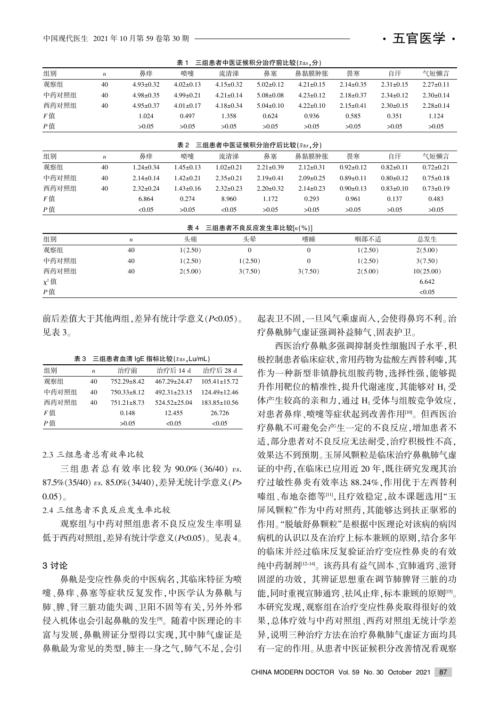| 衣!<br>二组忠有屮因证佚积分后打刖卬牧(メ±s,゚゙゙゙;プ) |                  |                  |                 |                                  |                 |                  |                 |                 |                 |  |
|-----------------------------------|------------------|------------------|-----------------|----------------------------------|-----------------|------------------|-----------------|-----------------|-----------------|--|
| 组别                                | $\boldsymbol{n}$ | 鼻痒               | 喷嚏              | 流清涕                              | 鼻塞              | 鼻黏膜肿胀            | 畏寒              | 自汗              | 气短懒言            |  |
| 观察组                               | 40               | $4.93 \pm 0.32$  | $4.02 \pm 0.13$ | $4.15 \pm 0.32$                  | $5.02 \pm 0.12$ | $4.21 \pm 0.15$  | $2.14 \pm 0.35$ | $2.31 \pm 0.15$ | $2.27 \pm 0.11$ |  |
| 中药对照组                             | 40               | $4.98 \pm 0.35$  | $4.99 \pm 0.21$ | $4.21 \pm 0.14$                  | $5.08 \pm 0.08$ | $4.23 \pm 0.12$  | $2.18 \pm 0.37$ | $2.34 \pm 0.12$ | $2.30 \pm 0.14$ |  |
| 西药对照组                             | 40               | $4.95 \pm 0.37$  | $4.01 \pm 0.17$ | $4.18 \pm 0.34$                  | $5.04 \pm 0.10$ | $4.22 \pm 0.10$  | $2.15 \pm 0.41$ | $2.30 \pm 0.15$ | $2.28 \pm 0.14$ |  |
| F值                                |                  | 1.024            | 0.497           | 1.358                            | 0.624           | 0.936            | 0.585           | 0.351           | 1.124           |  |
| P值                                |                  | >0.05            | >0.05           | >0.05                            | >0.05           | >0.05            | >0.05           | >0.05           | >0.05           |  |
|                                   |                  |                  | 表 2             | 三组患者中医证候积分治疗后比较( $\bar{x}$ ±s,分) |                 |                  |                 |                 |                 |  |
|                                   |                  |                  |                 |                                  |                 |                  |                 |                 |                 |  |
| 组别                                | $\boldsymbol{n}$ | 鼻痒               | 喷嚏              | 流清涕                              | 鼻塞              | 鼻黏膜肿胀            | 畏寒              | 自汗              | 气短懒言            |  |
| 观察组                               | 40               | $1.24 \pm 0.34$  | $1.45 \pm 0.13$ | $1.02 \pm 0.21$                  | $2.21 \pm 0.39$ | $2.12 \pm 0.31$  | $0.92 \pm 0.12$ | $0.82 \pm 0.11$ | $0.72 \pm 0.21$ |  |
| 中药对照组                             | 40               | $2.14 \pm 0.14$  | $1.42 \pm 0.21$ | $2.35 \pm 0.21$                  | $2.19 \pm 0.41$ | $2.09 \pm 0.25$  | $0.89 + 0.11$   | $0.80+0.12$     | $0.75 \pm 0.18$ |  |
| 西药对照组                             | 40               | $2.32 \pm 0.24$  | $1.43 \pm 0.16$ | $2.32 \pm 0.23$                  | $2.20 \pm 0.32$ | $2.14 \pm 0.23$  | $0.90 \pm 0.13$ | $0.83 \pm 0.10$ | $0.73 \pm 0.19$ |  |
| F值                                |                  | 6.864            | 0.274           | 8.960                            | 1.172           | 0.293            | 0.961           | 0.137           | 0.483           |  |
| Р值                                |                  | < 0.05           | >0.05           | < 0.05                           | >0.05           | >0.05            | >0.05           | >0.05           | >0.05           |  |
| 三组患者不良反应发生率比较[n(%)]<br>表 4        |                  |                  |                 |                                  |                 |                  |                 |                 |                 |  |
| 组别                                |                  | $\boldsymbol{n}$ | 头痛              |                                  | 头晕              | 嗜睡               | 咽部不适            |                 | 总发生             |  |
| 观察组                               |                  | 40               | 1(2.50)         |                                  | $\mathbf{0}$    | $\mathbf{0}$     | 1(2.50)         |                 | 2(5.00)         |  |
| 中药对照组                             |                  | 40               | 1(2.50)         | 1(2.50)                          |                 | $\boldsymbol{0}$ | 1(2.50)         |                 | 3(7.50)         |  |
| 西药对照组                             |                  | 40               | 2(5.00)         | 3(7.50)                          |                 | 3(7.50)          | 2(5.00)         |                 | 10(25.00)       |  |
| $\chi^2$ 值                        |                  |                  |                 |                                  |                 |                  |                 |                 | 6.642           |  |
| P值                                |                  |                  |                 |                                  |                 |                  |                 |                 | < 0.05          |  |

 $\pm$  1  $\pm$  6  $\pm$  5  $\pm$  5  $\pm$  5  $\pm$  5  $\pm$  6  $\pm$  5  $\pm$  5  $\pm$  5  $\pm$  5  $\pm$  5  $\pm$  5  $\pm$  5  $\pm$  6  $\pm$  6  $\pm$  6  $\pm$  6  $\pm$  6  $\pm$  6  $\pm$  6  $\pm$  6  $\pm$  6  $\pm$  6  $\pm$  6  $\pm$  6  $\pm$  6  $\pm$  6  $\pm$  6  $\pm$  6  $\pm$  6  $\pm$ 

前后差值大于其他两组, 差异有统计学意义 (P<0.05)。 见表 3。

表 3 三组患者血清 IgE 指标比较 $(x \pm s, Lu/mL)$ 

| 组别    | $\boldsymbol{n}$ | 治疗前               | 治疗后 14 d           | 治疗后 28 d           |
|-------|------------------|-------------------|--------------------|--------------------|
| 观察组   | 40               | $752.29 \pm 8.42$ | $467.29 \pm 24.47$ | $105.41 \pm 15.72$ |
| 中药对照组 | 40               | $750.33 \pm 8.12$ | $492.31 \pm 23.15$ | $124.49 \pm 12.46$ |
| 西药对照组 | 40               | $751.21 \pm 8.73$ | $524.52+25.04$     | $183.85 \pm 10.56$ |
| F值    |                  | 0.148             | 12.455             | 26.726             |
| P値    |                  | >0.05             | <0.05              | < 0.05             |

2.3 三组患者总有效率比较

三组患者总有效率比较为 90.0% (36/40) vs.  $87.5\%$  $(35/40)$  vs.  $85.0\%$  $(34/40)$ . 差异无统计学意义 $(P$ >  $0.05)$ <sub>o</sub>

2.4 三组患者不良反应发生率比较

观察组与中药对照组患者不良反应发生率明显 低于西药对照组, 差异有统计学意义 $(P<sub>0.05</sub>)$ 。见表 4。

#### 3 讨论

鼻鼽是变应性鼻炎的中医病名,其临床特征为喷 嚏、鼻痒、鼻塞等症状反复发作,中医学认为鼻鼽与 肺、脾、肾三脏功能失调、卫阳不固等有关,另外外邪 侵入机体也会引起鼻鼽的发生。随着中医理论的丰 富与发展,鼻鼽辨证分型得以实现,其中肺气虚证是 鼻鼽最为常见的类型,肺主一身之气,肺气不足,会引

起表卫不固, 一旦风气乘虚而入, 会使得鼻窍不利。治 疗鼻鼽肺气虚证强调补益肺气、固表护卫。

・五官医学・

西医治疗鼻鼽多强调抑制炎性细胞因子水平,积 极控制患者临床症状,常用药物为盐酸左西替利嗪,其 作为一种新型非镇静抗组胺药物,选择性强,能够提 升作用靶位的精准性,提升代谢速度,其能够对 H1 受 体产生较高的亲和力,通过 H<sub>1</sub> 受体与组胺竞争效应, 对患者鼻痒、喷嚏等症状起到改善作用[10]。但西医治 疗鼻鼽不可避免会产生一定的不良反应,增加患者不 适,部分患者对不良反应无法耐受,治疗积极性不高, 效果达不到预期。玉屏风颗粒是临床治疗鼻鼽肺气虚 证的中药,在临床已应用近 20年,既往研究发现其治 疗过敏性鼻炎有效率达 88.24%,作用优于左西替利 嗪组、布地奈德等[11],且疗效稳定,故本课题选用"玉 屏风颗粒"作为中药对照药,其能够达到扶正驱邪的 作用。"脱敏舒鼻颗粒"是根据中医理论对该病的病因 病机的认识以及在治疗上标本兼顾的原则,结合多年 的临床并经过临床反复验证治疗变应性鼻炎的有效 纯中药制剂[12-14]。该药具有益气固本、宜肺通窍、滋肾 固涩的功效,其辨证思想重在调节肺脾肾三脏的功 能,同时重视宣肺通窍、祛风止痒,标本兼顾的原则[15]。 本研究发现,观察组在治疗变应性鼻炎取得很好的效 果,总体疗效与中药对照组、西药对照组无统计学差 异,说明三种治疗方法在治疗鼻鼽肺气虚证方面均具 有一定的作用。从患者中医证候积分改善情况看观察